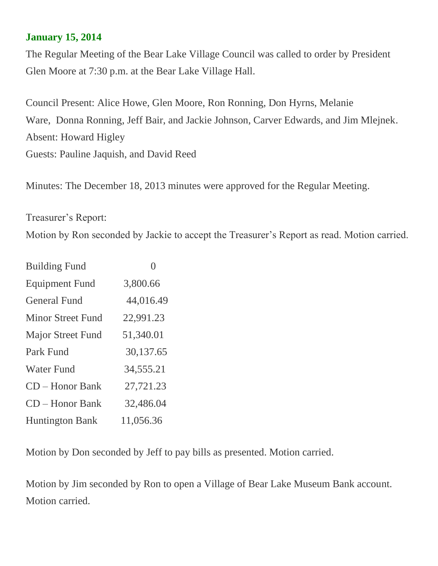## **January 15, 2014**

The Regular Meeting of the Bear Lake Village Council was called to order by President Glen Moore at 7:30 p.m. at the Bear Lake Village Hall.

Council Present: Alice Howe, Glen Moore, Ron Ronning, Don Hyrns, Melanie Ware, Donna Ronning, Jeff Bair, and Jackie Johnson, Carver Edwards, and Jim Mlejnek. Absent: Howard Higley Guests: Pauline Jaquish, and David Reed

Minutes: The December 18, 2013 minutes were approved for the Regular Meeting.

Treasurer's Report: Motion by Ron seconded by Jackie to accept the Treasurer's Report as read. Motion carried.

| <b>Building Fund</b>     |           |
|--------------------------|-----------|
| <b>Equipment Fund</b>    | 3,800.66  |
| <b>General Fund</b>      | 44,016.49 |
| <b>Minor Street Fund</b> | 22,991.23 |
| Major Street Fund        | 51,340.01 |
| Park Fund                | 30,137.65 |
| <b>Water Fund</b>        | 34,555.21 |
| $CD - Honor Bank$        | 27,721.23 |
| <b>CD</b> – Honor Bank   | 32,486.04 |
| <b>Huntington Bank</b>   | 11,056.36 |

Motion by Don seconded by Jeff to pay bills as presented. Motion carried.

Motion by Jim seconded by Ron to open a Village of Bear Lake Museum Bank account. Motion carried.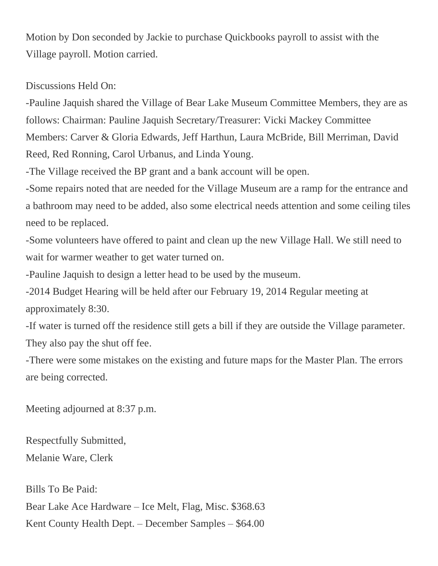Motion by Don seconded by Jackie to purchase Quickbooks payroll to assist with the Village payroll. Motion carried.

Discussions Held On:

-Pauline Jaquish shared the Village of Bear Lake Museum Committee Members, they are as follows: Chairman: Pauline Jaquish Secretary/Treasurer: Vicki Mackey Committee Members: Carver & Gloria Edwards, Jeff Harthun, Laura McBride, Bill Merriman, David Reed, Red Ronning, Carol Urbanus, and Linda Young.

-The Village received the BP grant and a bank account will be open.

-Some repairs noted that are needed for the Village Museum are a ramp for the entrance and a bathroom may need to be added, also some electrical needs attention and some ceiling tiles need to be replaced.

-Some volunteers have offered to paint and clean up the new Village Hall. We still need to wait for warmer weather to get water turned on.

-Pauline Jaquish to design a letter head to be used by the museum.

-2014 Budget Hearing will be held after our February 19, 2014 Regular meeting at approximately 8:30.

-If water is turned off the residence still gets a bill if they are outside the Village parameter. They also pay the shut off fee.

-There were some mistakes on the existing and future maps for the Master Plan. The errors are being corrected.

Meeting adjourned at 8:37 p.m.

Respectfully Submitted, Melanie Ware, Clerk

Bills To Be Paid: Bear Lake Ace Hardware – Ice Melt, Flag, Misc. \$368.63 Kent County Health Dept. – December Samples – \$64.00